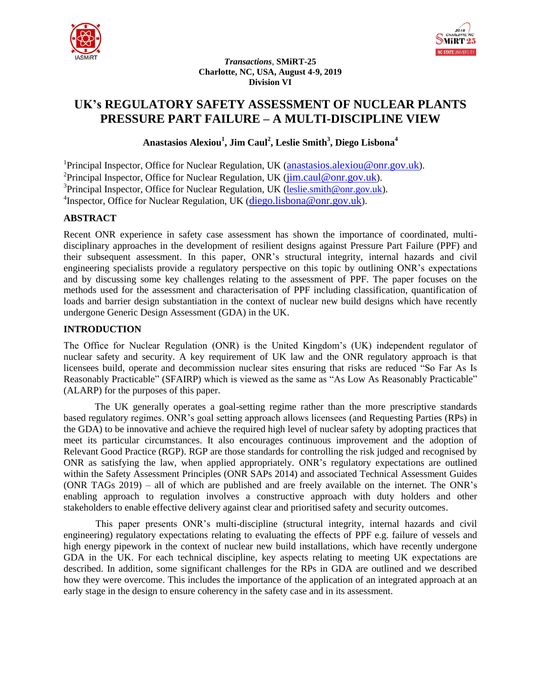



*Transactions*, **SMiRT-25 Charlotte, NC, USA, August 4-9, 2019 Division VI**

# **UK's REGULATORY SAFETY ASSESSMENT OF NUCLEAR PLANTS PRESSURE PART FAILURE – A MULTI-DISCIPLINE VIEW**

**Anastasios Alexiou<sup>1</sup> , Jim Caul<sup>2</sup> , Leslie Smith<sup>3</sup> , Diego Lisbona<sup>4</sup>**

<sup>1</sup>Principal Inspector, Office for Nuclear Regulation, UK (*anastasios.alexiou@onr.gov.uk*). <sup>2</sup> Principal Inspector, Office for Nuclear Regulation, UK (*jim.caul@onr.gov.uk*). <sup>3</sup> Principal Inspector, Office for Nuclear Regulation, UK (*leslie.smith@onr.gov.uk*). <sup>4</sup>Inspector, Office for Nuclear Regulation, UK (diego.lisbona@onr.gov.uk).

# **ABSTRACT**

Recent ONR experience in safety case assessment has shown the importance of coordinated, multidisciplinary approaches in the development of resilient designs against Pressure Part Failure (PPF) and their subsequent assessment. In this paper, ONR's structural integrity, internal hazards and civil engineering specialists provide a regulatory perspective on this topic by outlining ONR's expectations and by discussing some key challenges relating to the assessment of PPF. The paper focuses on the methods used for the assessment and characterisation of PPF including classification, quantification of loads and barrier design substantiation in the context of nuclear new build designs which have recently undergone Generic Design Assessment (GDA) in the UK.

# **INTRODUCTION**

The Office for Nuclear Regulation (ONR) is the United Kingdom's (UK) independent regulator of nuclear safety and security. A key requirement of UK law and the ONR regulatory approach is that licensees build, operate and decommission nuclear sites ensuring that risks are reduced "So Far As Is Reasonably Practicable" (SFAIRP) which is viewed as the same as "As Low As Reasonably Practicable" (ALARP) for the purposes of this paper.

The UK generally operates a goal-setting regime rather than the more prescriptive standards based regulatory regimes. ONR's goal setting approach allows licensees (and Requesting Parties (RPs) in the GDA) to be innovative and achieve the required high level of nuclear safety by adopting practices that meet its particular circumstances. It also encourages continuous improvement and the adoption of Relevant Good Practice (RGP). RGP are those standards for controlling the risk judged and recognised by ONR as satisfying the law, when applied appropriately. ONR's regulatory expectations are outlined within the Safety Assessment Principles (ONR SAPs 2014) and associated Technical Assessment Guides (ONR TAGs 2019) – all of which are published and are freely available on the internet. The ONR's enabling approach to regulation involves a constructive approach with duty holders and other stakeholders to enable effective delivery against clear and prioritised safety and security outcomes.

This paper presents ONR's multi-discipline (structural integrity, internal hazards and civil engineering) regulatory expectations relating to evaluating the effects of PPF e.g. failure of vessels and high energy pipework in the context of nuclear new build installations, which have recently undergone GDA in the UK. For each technical discipline, key aspects relating to meeting UK expectations are described. In addition, some significant challenges for the RPs in GDA are outlined and we described how they were overcome. This includes the importance of the application of an integrated approach at an early stage in the design to ensure coherency in the safety case and in its assessment.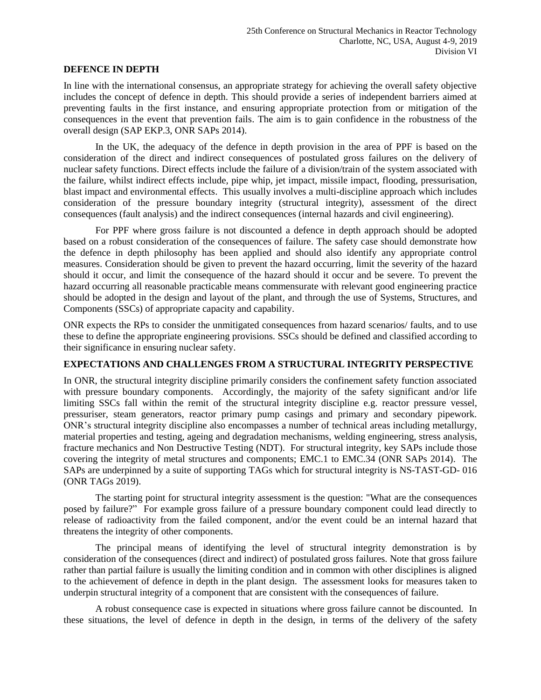#### **DEFENCE IN DEPTH**

In line with the international consensus, an appropriate strategy for achieving the overall safety objective includes the concept of defence in depth. This should provide a series of independent barriers aimed at preventing faults in the first instance, and ensuring appropriate protection from or mitigation of the consequences in the event that prevention fails. The aim is to gain confidence in the robustness of the overall design (SAP EKP.3, ONR SAPs 2014).

In the UK, the adequacy of the defence in depth provision in the area of PPF is based on the consideration of the direct and indirect consequences of postulated gross failures on the delivery of nuclear safety functions. Direct effects include the failure of a division/train of the system associated with the failure, whilst indirect effects include, pipe whip, jet impact, missile impact, flooding, pressurisation, blast impact and environmental effects. This usually involves a multi-discipline approach which includes consideration of the pressure boundary integrity (structural integrity), assessment of the direct consequences (fault analysis) and the indirect consequences (internal hazards and civil engineering).

For PPF where gross failure is not discounted a defence in depth approach should be adopted based on a robust consideration of the consequences of failure. The safety case should demonstrate how the defence in depth philosophy has been applied and should also identify any appropriate control measures. Consideration should be given to prevent the hazard occurring, limit the severity of the hazard should it occur, and limit the consequence of the hazard should it occur and be severe. To prevent the hazard occurring all reasonable practicable means commensurate with relevant good engineering practice should be adopted in the design and layout of the plant, and through the use of Systems, Structures, and Components (SSCs) of appropriate capacity and capability.

ONR expects the RPs to consider the unmitigated consequences from hazard scenarios/ faults, and to use these to define the appropriate engineering provisions. SSCs should be defined and classified according to their significance in ensuring nuclear safety.

# **EXPECTATIONS AND CHALLENGES FROM A STRUCTURAL INTEGRITY PERSPECTIVE**

In ONR, the structural integrity discipline primarily considers the confinement safety function associated with pressure boundary components. Accordingly, the majority of the safety significant and/or life limiting SSCs fall within the remit of the structural integrity discipline e.g. reactor pressure vessel, pressuriser, steam generators, reactor primary pump casings and primary and secondary pipework. ONR's structural integrity discipline also encompasses a number of technical areas including metallurgy, material properties and testing, ageing and degradation mechanisms, welding engineering, stress analysis, fracture mechanics and Non Destructive Testing (NDT). For structural integrity, key SAPs include those covering the integrity of metal structures and components; EMC.1 to EMC.34 (ONR SAPs 2014). The SAPs are underpinned by a suite of supporting TAGs which for structural integrity is NS-TAST-GD- 016 (ONR TAGs 2019).

The starting point for structural integrity assessment is the question: "What are the consequences posed by failure?" For example gross failure of a pressure boundary component could lead directly to release of radioactivity from the failed component, and/or the event could be an internal hazard that threatens the integrity of other components.

The principal means of identifying the level of structural integrity demonstration is by consideration of the consequences (direct and indirect) of postulated gross failures. Note that gross failure rather than partial failure is usually the limiting condition and in common with other disciplines is aligned to the achievement of defence in depth in the plant design. The assessment looks for measures taken to underpin structural integrity of a component that are consistent with the consequences of failure.

A robust consequence case is expected in situations where gross failure cannot be discounted. In these situations, the level of defence in depth in the design, in terms of the delivery of the safety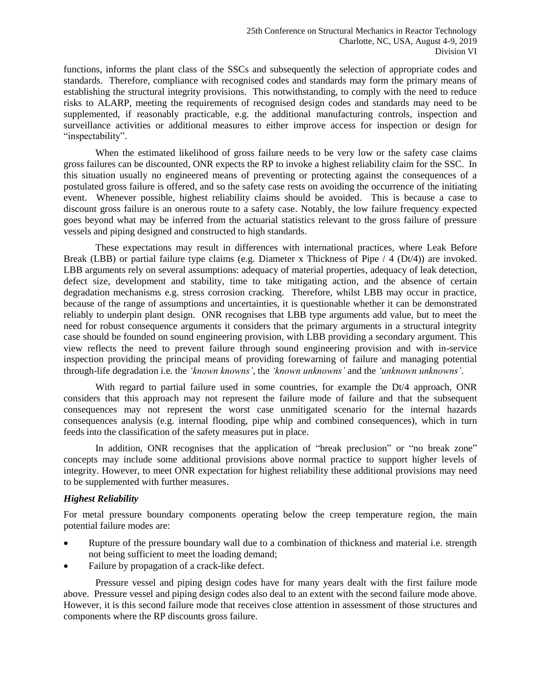functions, informs the plant class of the SSCs and subsequently the selection of appropriate codes and standards. Therefore, compliance with recognised codes and standards may form the primary means of establishing the structural integrity provisions. This notwithstanding, to comply with the need to reduce risks to ALARP, meeting the requirements of recognised design codes and standards may need to be supplemented, if reasonably practicable, e.g. the additional manufacturing controls, inspection and surveillance activities or additional measures to either improve access for inspection or design for "inspectability".

When the estimated likelihood of gross failure needs to be very low or the safety case claims gross failures can be discounted, ONR expects the RP to invoke a highest reliability claim for the SSC. In this situation usually no engineered means of preventing or protecting against the consequences of a postulated gross failure is offered, and so the safety case rests on avoiding the occurrence of the initiating event. Whenever possible, highest reliability claims should be avoided. This is because a case to discount gross failure is an onerous route to a safety case. Notably, the low failure frequency expected goes beyond what may be inferred from the actuarial statistics relevant to the gross failure of pressure vessels and piping designed and constructed to high standards.

These expectations may result in differences with international practices, where Leak Before Break (LBB) or partial failure type claims (e.g. Diameter x Thickness of Pipe / 4 (Dt/4)) are invoked. LBB arguments rely on several assumptions: adequacy of material properties, adequacy of leak detection, defect size, development and stability, time to take mitigating action, and the absence of certain degradation mechanisms e.g. stress corrosion cracking. Therefore, whilst LBB may occur in practice, because of the range of assumptions and uncertainties, it is questionable whether it can be demonstrated reliably to underpin plant design. ONR recognises that LBB type arguments add value, but to meet the need for robust consequence arguments it considers that the primary arguments in a structural integrity case should be founded on sound engineering provision, with LBB providing a secondary argument. This view reflects the need to prevent failure through sound engineering provision and with in-service inspection providing the principal means of providing forewarning of failure and managing potential through-life degradation i.e. the *'known knowns'*, the *'known unknowns'* and the *'unknown unknowns'*.

With regard to partial failure used in some countries, for example the Dt/4 approach, ONR considers that this approach may not represent the failure mode of failure and that the subsequent consequences may not represent the worst case unmitigated scenario for the internal hazards consequences analysis (e.g. internal flooding, pipe whip and combined consequences), which in turn feeds into the classification of the safety measures put in place.

In addition, ONR recognises that the application of "break preclusion" or "no break zone" concepts may include some additional provisions above normal practice to support higher levels of integrity. However, to meet ONR expectation for highest reliability these additional provisions may need to be supplemented with further measures.

## *Highest Reliability*

For metal pressure boundary components operating below the creep temperature region, the main potential failure modes are:

- Rupture of the pressure boundary wall due to a combination of thickness and material i.e. strength not being sufficient to meet the loading demand;
- Failure by propagation of a crack-like defect.

Pressure vessel and piping design codes have for many years dealt with the first failure mode above. Pressure vessel and piping design codes also deal to an extent with the second failure mode above. However, it is this second failure mode that receives close attention in assessment of those structures and components where the RP discounts gross failure.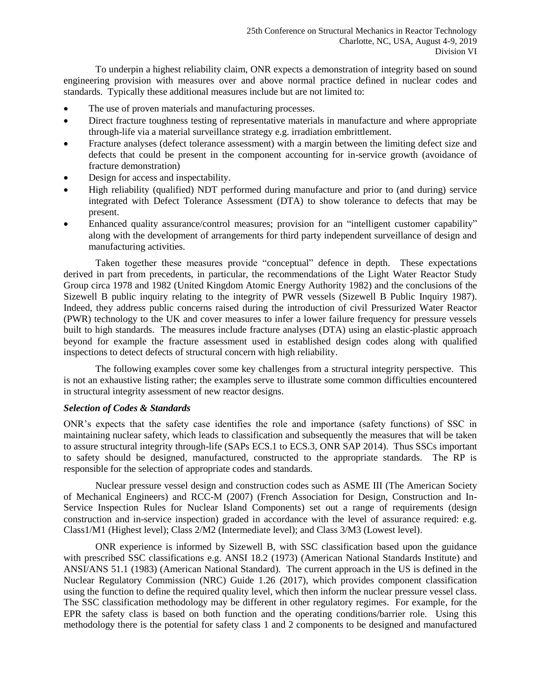To underpin a highest reliability claim, ONR expects a demonstration of integrity based on sound engineering provision with measures over and above normal practice defined in nuclear codes and standards. Typically these additional measures include but are not limited to:

- The use of proven materials and manufacturing processes.
- Direct fracture toughness testing of representative materials in manufacture and where appropriate through-life via a material surveillance strategy e.g. irradiation embrittlement.
- Fracture analyses (defect tolerance assessment) with a margin between the limiting defect size and defects that could be present in the component accounting for in-service growth (avoidance of fracture demonstration)
- Design for access and inspectability.
- High reliability (qualified) NDT performed during manufacture and prior to (and during) service integrated with Defect Tolerance Assessment (DTA) to show tolerance to defects that may be present.
- Enhanced quality assurance/control measures; provision for an "intelligent customer capability" along with the development of arrangements for third party independent surveillance of design and manufacturing activities.

Taken together these measures provide "conceptual" defence in depth. These expectations derived in part from precedents, in particular, the recommendations of the Light Water Reactor Study Group circa 1978 and 1982 (United Kingdom Atomic Energy Authority 1982) and the conclusions of the Sizewell B public inquiry relating to the integrity of PWR vessels (Sizewell B Public Inquiry 1987). Indeed, they address public concerns raised during the introduction of civil Pressurized Water Reactor (PWR) technology to the UK and cover measures to infer a lower failure frequency for pressure vessels built to high standards. The measures include fracture analyses (DTA) using an elastic-plastic approach beyond for example the fracture assessment used in established design codes along with qualified inspections to detect defects of structural concern with high reliability.

The following examples cover some key challenges from a structural integrity perspective. This is not an exhaustive listing rather; the examples serve to illustrate some common difficulties encountered in structural integrity assessment of new reactor designs.

#### *Selection of Codes & Standards*

ONR's expects that the safety case identifies the role and importance (safety functions) of SSC in maintaining nuclear safety, which leads to classification and subsequently the measures that will be taken to assure structural integrity through-life (SAPs ECS.1 to ECS.3, ONR SAP 2014). Thus SSCs important to safety should be designed, manufactured, constructed to the appropriate standards. The RP is responsible for the selection of appropriate codes and standards.

Nuclear pressure vessel design and construction codes such as ASME III (The American Society of Mechanical Engineers) and RCC-M (2007) (French Association for Design, Construction and In-Service Inspection Rules for Nuclear Island Components) set out a range of requirements (design construction and in-service inspection) graded in accordance with the level of assurance required: e.g. Class1/M1 (Highest level); Class 2/M2 (Intermediate level); and Class 3/M3 (Lowest level).

ONR experience is informed by Sizewell B, with SSC classification based upon the guidance with prescribed SSC classifications e.g. ANSI 18.2 (1973) (American National Standards Institute) and ANSI/ANS 51.1 (1983) (American National Standard). The current approach in the US is defined in the Nuclear Regulatory Commission (NRC) Guide 1.26 (2017), which provides component classification using the function to define the required quality level, which then inform the nuclear pressure vessel class. The SSC classification methodology may be different in other regulatory regimes. For example, for the EPR the safety class is based on both function and the operating conditions/barrier role. Using this methodology there is the potential for safety class 1 and 2 components to be designed and manufactured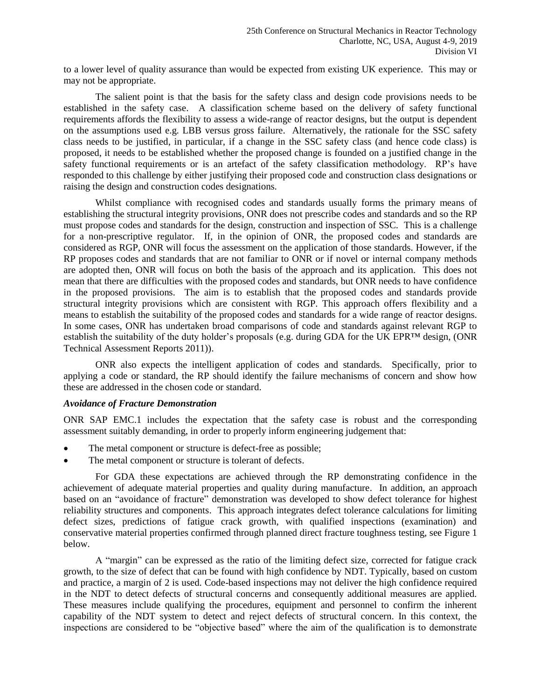to a lower level of quality assurance than would be expected from existing UK experience. This may or may not be appropriate.

The salient point is that the basis for the safety class and design code provisions needs to be established in the safety case. A classification scheme based on the delivery of safety functional requirements affords the flexibility to assess a wide-range of reactor designs, but the output is dependent on the assumptions used e.g. LBB versus gross failure. Alternatively, the rationale for the SSC safety class needs to be justified, in particular, if a change in the SSC safety class (and hence code class) is proposed, it needs to be established whether the proposed change is founded on a justified change in the safety functional requirements or is an artefact of the safety classification methodology. RP's have responded to this challenge by either justifying their proposed code and construction class designations or raising the design and construction codes designations.

Whilst compliance with recognised codes and standards usually forms the primary means of establishing the structural integrity provisions, ONR does not prescribe codes and standards and so the RP must propose codes and standards for the design, construction and inspection of SSC. This is a challenge for a non-prescriptive regulator. If, in the opinion of ONR, the proposed codes and standards are considered as RGP, ONR will focus the assessment on the application of those standards. However, if the RP proposes codes and standards that are not familiar to ONR or if novel or internal company methods are adopted then, ONR will focus on both the basis of the approach and its application. This does not mean that there are difficulties with the proposed codes and standards, but ONR needs to have confidence in the proposed provisions. The aim is to establish that the proposed codes and standards provide structural integrity provisions which are consistent with RGP. This approach offers flexibility and a means to establish the suitability of the proposed codes and standards for a wide range of reactor designs. In some cases, ONR has undertaken broad comparisons of code and standards against relevant RGP to establish the suitability of the duty holder's proposals (e.g. during GDA for the UK EPR™ design, (ONR Technical Assessment Reports 2011)).

ONR also expects the intelligent application of codes and standards. Specifically, prior to applying a code or standard, the RP should identify the failure mechanisms of concern and show how these are addressed in the chosen code or standard.

#### *Avoidance of Fracture Demonstration*

ONR SAP EMC.1 includes the expectation that the safety case is robust and the corresponding assessment suitably demanding, in order to properly inform engineering judgement that:

- The metal component or structure is defect-free as possible;
- The metal component or structure is tolerant of defects.

For GDA these expectations are achieved through the RP demonstrating confidence in the achievement of adequate material properties and quality during manufacture. In addition, an approach based on an "avoidance of fracture" demonstration was developed to show defect tolerance for highest reliability structures and components. This approach integrates defect tolerance calculations for limiting defect sizes, predictions of fatigue crack growth, with qualified inspections (examination) and conservative material properties confirmed through planned direct fracture toughness testing, see Figure 1 below.

A "margin" can be expressed as the ratio of the limiting defect size, corrected for fatigue crack growth, to the size of defect that can be found with high confidence by NDT. Typically, based on custom and practice, a margin of 2 is used. Code-based inspections may not deliver the high confidence required in the NDT to detect defects of structural concerns and consequently additional measures are applied. These measures include qualifying the procedures, equipment and personnel to confirm the inherent capability of the NDT system to detect and reject defects of structural concern. In this context, the inspections are considered to be "objective based" where the aim of the qualification is to demonstrate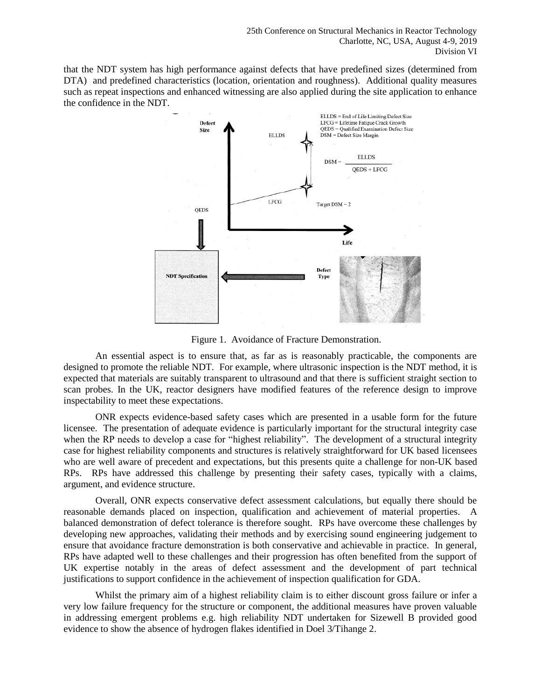that the NDT system has high performance against defects that have predefined sizes (determined from DTA) and predefined characteristics (location, orientation and roughness). Additional quality measures such as repeat inspections and enhanced witnessing are also applied during the site application to enhance the confidence in the NDT.



Figure 1. Avoidance of Fracture Demonstration.

An essential aspect is to ensure that, as far as is reasonably practicable, the components are designed to promote the reliable NDT. For example, where ultrasonic inspection is the NDT method, it is expected that materials are suitably transparent to ultrasound and that there is sufficient straight section to scan probes. In the UK, reactor designers have modified features of the reference design to improve inspectability to meet these expectations.

ONR expects evidence-based safety cases which are presented in a usable form for the future licensee. The presentation of adequate evidence is particularly important for the structural integrity case when the RP needs to develop a case for "highest reliability". The development of a structural integrity case for highest reliability components and structures is relatively straightforward for UK based licensees who are well aware of precedent and expectations, but this presents quite a challenge for non-UK based RPs. RPs have addressed this challenge by presenting their safety cases, typically with a claims, argument, and evidence structure.

Overall, ONR expects conservative defect assessment calculations, but equally there should be reasonable demands placed on inspection, qualification and achievement of material properties. A balanced demonstration of defect tolerance is therefore sought. RPs have overcome these challenges by developing new approaches, validating their methods and by exercising sound engineering judgement to ensure that avoidance fracture demonstration is both conservative and achievable in practice. In general, RPs have adapted well to these challenges and their progression has often benefited from the support of UK expertise notably in the areas of defect assessment and the development of part technical justifications to support confidence in the achievement of inspection qualification for GDA.

Whilst the primary aim of a highest reliability claim is to either discount gross failure or infer a very low failure frequency for the structure or component, the additional measures have proven valuable in addressing emergent problems e.g. high reliability NDT undertaken for Sizewell B provided good evidence to show the absence of hydrogen flakes identified in Doel 3/Tihange 2.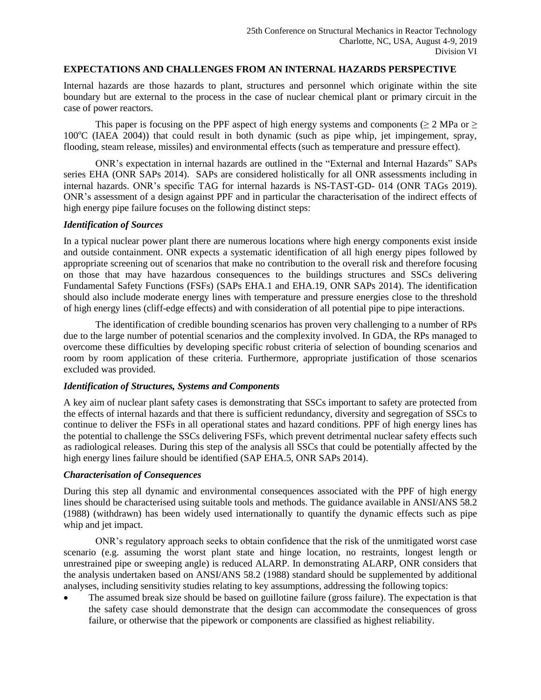#### **EXPECTATIONS AND CHALLENGES FROM AN INTERNAL HAZARDS PERSPECTIVE**

Internal hazards are those hazards to plant, structures and personnel which originate within the site boundary but are external to the process in the case of nuclear chemical plant or primary circuit in the case of power reactors.

This paper is focusing on the PPF aspect of high energy systems and components ( $\geq 2$  MPa or  $\geq$  $100^{\circ}$ C (IAEA 2004)) that could result in both dynamic (such as pipe whip, jet impingement, spray, flooding, steam release, missiles) and environmental effects (such as temperature and pressure effect).

ONR's expectation in internal hazards are outlined in the "External and Internal Hazards" SAPs series EHA (ONR SAPs 2014). SAPs are considered holistically for all ONR assessments including in internal hazards. ONR's specific TAG for internal hazards is NS-TAST-GD- 014 (ONR TAGs 2019). ONR's assessment of a design against PPF and in particular the characterisation of the indirect effects of high energy pipe failure focuses on the following distinct steps:

#### *Identification of Sources*

In a typical nuclear power plant there are numerous locations where high energy components exist inside and outside containment. ONR expects a systematic identification of all high energy pipes followed by appropriate screening out of scenarios that make no contribution to the overall risk and therefore focusing on those that may have hazardous consequences to the buildings structures and SSCs delivering Fundamental Safety Functions (FSFs) (SAPs EHA.1 and EHA.19, ONR SAPs 2014). The identification should also include moderate energy lines with temperature and pressure energies close to the threshold of high energy lines (cliff-edge effects) and with consideration of all potential pipe to pipe interactions.

The identification of credible bounding scenarios has proven very challenging to a number of RPs due to the large number of potential scenarios and the complexity involved. In GDA, the RPs managed to overcome these difficulties by developing specific robust criteria of selection of bounding scenarios and room by room application of these criteria. Furthermore, appropriate justification of those scenarios excluded was provided.

#### *Identification of Structures, Systems and Components*

A key aim of nuclear plant safety cases is demonstrating that SSCs important to safety are protected from the effects of internal hazards and that there is sufficient redundancy, diversity and segregation of SSCs to continue to deliver the FSFs in all operational states and hazard conditions. PPF of high energy lines has the potential to challenge the SSCs delivering FSFs, which prevent detrimental nuclear safety effects such as radiological releases. During this step of the analysis all SSCs that could be potentially affected by the high energy lines failure should be identified (SAP EHA.5, ONR SAPs 2014).

## *Characterisation of Consequences*

During this step all dynamic and environmental consequences associated with the PPF of high energy lines should be characterised using suitable tools and methods. The guidance available in ANSI/ANS 58.2 (1988) (withdrawn) has been widely used internationally to quantify the dynamic effects such as pipe whip and jet impact.

ONR's regulatory approach seeks to obtain confidence that the risk of the unmitigated worst case scenario (e.g. assuming the worst plant state and hinge location, no restraints, longest length or unrestrained pipe or sweeping angle) is reduced ALARP. In demonstrating ALARP, ONR considers that the analysis undertaken based on ANSI/ANS 58.2 (1988) standard should be supplemented by additional analyses, including sensitivity studies relating to key assumptions, addressing the following topics:

 The assumed break size should be based on guillotine failure (gross failure). The expectation is that the safety case should demonstrate that the design can accommodate the consequences of gross failure, or otherwise that the pipework or components are classified as highest reliability.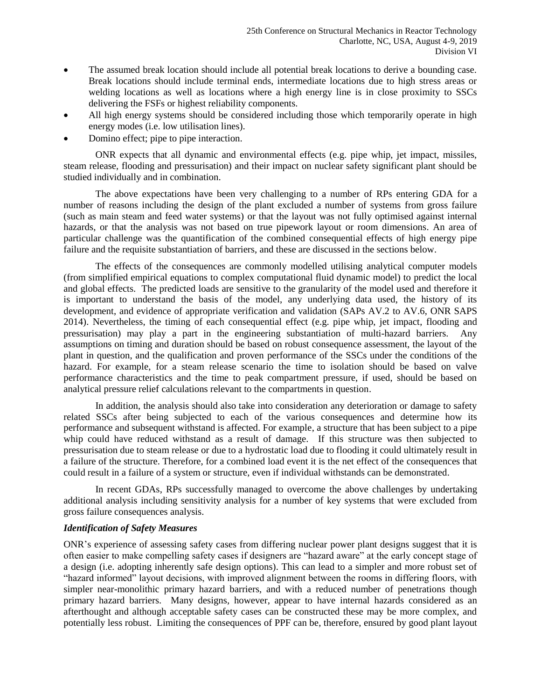- The assumed break location should include all potential break locations to derive a bounding case. Break locations should include terminal ends, intermediate locations due to high stress areas or welding locations as well as locations where a high energy line is in close proximity to SSCs delivering the FSFs or highest reliability components.
- All high energy systems should be considered including those which temporarily operate in high energy modes (i.e. low utilisation lines).
- Domino effect; pipe to pipe interaction.

ONR expects that all dynamic and environmental effects (e.g. pipe whip, jet impact, missiles, steam release, flooding and pressurisation) and their impact on nuclear safety significant plant should be studied individually and in combination.

The above expectations have been very challenging to a number of RPs entering GDA for a number of reasons including the design of the plant excluded a number of systems from gross failure (such as main steam and feed water systems) or that the layout was not fully optimised against internal hazards, or that the analysis was not based on true pipework layout or room dimensions. An area of particular challenge was the quantification of the combined consequential effects of high energy pipe failure and the requisite substantiation of barriers, and these are discussed in the sections below.

The effects of the consequences are commonly modelled utilising analytical computer models (from simplified empirical equations to complex computational fluid dynamic model) to predict the local and global effects. The predicted loads are sensitive to the granularity of the model used and therefore it is important to understand the basis of the model, any underlying data used, the history of its development, and evidence of appropriate verification and validation (SAPs AV.2 to AV.6, ONR SAPS 2014). Nevertheless, the timing of each consequential effect (e.g. pipe whip, jet impact, flooding and pressurisation) may play a part in the engineering substantiation of multi-hazard barriers. Any assumptions on timing and duration should be based on robust consequence assessment, the layout of the plant in question, and the qualification and proven performance of the SSCs under the conditions of the hazard. For example, for a steam release scenario the time to isolation should be based on valve performance characteristics and the time to peak compartment pressure, if used, should be based on analytical pressure relief calculations relevant to the compartments in question.

In addition, the analysis should also take into consideration any deterioration or damage to safety related SSCs after being subjected to each of the various consequences and determine how its performance and subsequent withstand is affected. For example, a structure that has been subject to a pipe whip could have reduced withstand as a result of damage. If this structure was then subjected to pressurisation due to steam release or due to a hydrostatic load due to flooding it could ultimately result in a failure of the structure. Therefore, for a combined load event it is the net effect of the consequences that could result in a failure of a system or structure, even if individual withstands can be demonstrated.

In recent GDAs, RPs successfully managed to overcome the above challenges by undertaking additional analysis including sensitivity analysis for a number of key systems that were excluded from gross failure consequences analysis.

## *Identification of Safety Measures*

ONR's experience of assessing safety cases from differing nuclear power plant designs suggest that it is often easier to make compelling safety cases if designers are "hazard aware" at the early concept stage of a design (i.e. adopting inherently safe design options). This can lead to a simpler and more robust set of "hazard informed" layout decisions, with improved alignment between the rooms in differing floors, with simpler near-monolithic primary hazard barriers, and with a reduced number of penetrations though primary hazard barriers. Many designs, however, appear to have internal hazards considered as an afterthought and although acceptable safety cases can be constructed these may be more complex, and potentially less robust. Limiting the consequences of PPF can be, therefore, ensured by good plant layout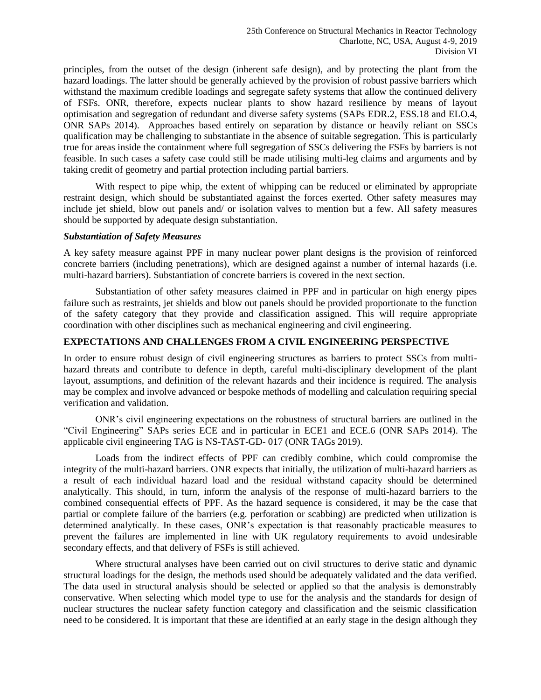principles, from the outset of the design (inherent safe design), and by protecting the plant from the hazard loadings. The latter should be generally achieved by the provision of robust passive barriers which withstand the maximum credible loadings and segregate safety systems that allow the continued delivery of FSFs. ONR, therefore, expects nuclear plants to show hazard resilience by means of layout optimisation and segregation of redundant and diverse safety systems (SAPs EDR.2, ESS.18 and ELO.4, ONR SAPs 2014). Approaches based entirely on separation by distance or heavily reliant on SSCs qualification may be challenging to substantiate in the absence of suitable segregation. This is particularly true for areas inside the containment where full segregation of SSCs delivering the FSFs by barriers is not feasible. In such cases a safety case could still be made utilising multi-leg claims and arguments and by taking credit of geometry and partial protection including partial barriers.

With respect to pipe whip, the extent of whipping can be reduced or eliminated by appropriate restraint design, which should be substantiated against the forces exerted. Other safety measures may include jet shield, blow out panels and/ or isolation valves to mention but a few. All safety measures should be supported by adequate design substantiation.

#### *Substantiation of Safety Measures*

A key safety measure against PPF in many nuclear power plant designs is the provision of reinforced concrete barriers (including penetrations), which are designed against a number of internal hazards (i.e. multi-hazard barriers). Substantiation of concrete barriers is covered in the next section.

Substantiation of other safety measures claimed in PPF and in particular on high energy pipes failure such as restraints, jet shields and blow out panels should be provided proportionate to the function of the safety category that they provide and classification assigned. This will require appropriate coordination with other disciplines such as mechanical engineering and civil engineering.

# **EXPECTATIONS AND CHALLENGES FROM A CIVIL ENGINEERING PERSPECTIVE**

In order to ensure robust design of civil engineering structures as barriers to protect SSCs from multihazard threats and contribute to defence in depth, careful multi-disciplinary development of the plant layout, assumptions, and definition of the relevant hazards and their incidence is required. The analysis may be complex and involve advanced or bespoke methods of modelling and calculation requiring special verification and validation.

ONR's civil engineering expectations on the robustness of structural barriers are outlined in the "Civil Engineering" SAPs series ECE and in particular in ECE1 and ECE.6 (ONR SAPs 2014). The applicable civil engineering TAG is NS-TAST-GD- 017 (ONR TAGs 2019).

Loads from the indirect effects of PPF can credibly combine, which could compromise the integrity of the multi-hazard barriers. ONR expects that initially, the utilization of multi-hazard barriers as a result of each individual hazard load and the residual withstand capacity should be determined analytically. This should, in turn, inform the analysis of the response of multi-hazard barriers to the combined consequential effects of PPF. As the hazard sequence is considered, it may be the case that partial or complete failure of the barriers (e.g. perforation or scabbing) are predicted when utilization is determined analytically. In these cases, ONR's expectation is that reasonably practicable measures to prevent the failures are implemented in line with UK regulatory requirements to avoid undesirable secondary effects, and that delivery of FSFs is still achieved.

Where structural analyses have been carried out on civil structures to derive static and dynamic structural loadings for the design, the methods used should be adequately validated and the data verified. The data used in structural analysis should be selected or applied so that the analysis is demonstrably conservative. When selecting which model type to use for the analysis and the standards for design of nuclear structures the nuclear safety function category and classification and the seismic classification need to be considered. It is important that these are identified at an early stage in the design although they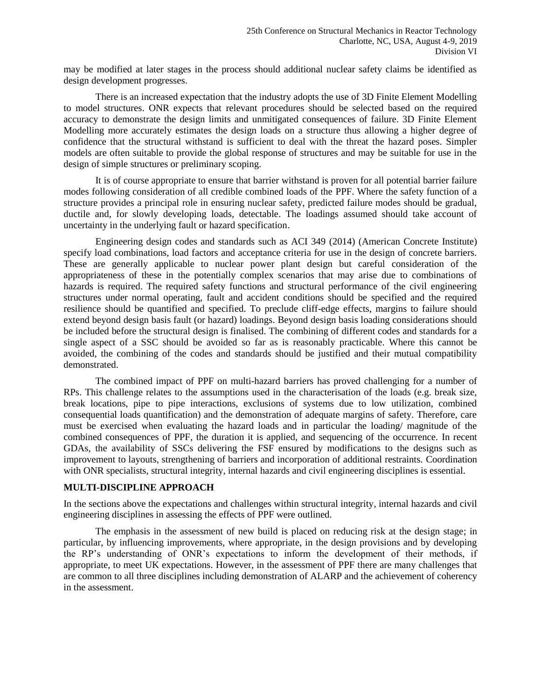may be modified at later stages in the process should additional nuclear safety claims be identified as design development progresses.

There is an increased expectation that the industry adopts the use of 3D Finite Element Modelling to model structures. ONR expects that relevant procedures should be selected based on the required accuracy to demonstrate the design limits and unmitigated consequences of failure. 3D Finite Element Modelling more accurately estimates the design loads on a structure thus allowing a higher degree of confidence that the structural withstand is sufficient to deal with the threat the hazard poses. Simpler models are often suitable to provide the global response of structures and may be suitable for use in the design of simple structures or preliminary scoping.

It is of course appropriate to ensure that barrier withstand is proven for all potential barrier failure modes following consideration of all credible combined loads of the PPF. Where the safety function of a structure provides a principal role in ensuring nuclear safety, predicted failure modes should be gradual, ductile and, for slowly developing loads, detectable. The loadings assumed should take account of uncertainty in the underlying fault or hazard specification.

Engineering design codes and standards such as ACI 349 (2014) (American Concrete Institute) specify load combinations, load factors and acceptance criteria for use in the design of concrete barriers. These are generally applicable to nuclear power plant design but careful consideration of the appropriateness of these in the potentially complex scenarios that may arise due to combinations of hazards is required. The required safety functions and structural performance of the civil engineering structures under normal operating, fault and accident conditions should be specified and the required resilience should be quantified and specified. To preclude cliff-edge effects, margins to failure should extend beyond design basis fault (or hazard) loadings. Beyond design basis loading considerations should be included before the structural design is finalised. The combining of different codes and standards for a single aspect of a SSC should be avoided so far as is reasonably practicable. Where this cannot be avoided, the combining of the codes and standards should be justified and their mutual compatibility demonstrated.

The combined impact of PPF on multi-hazard barriers has proved challenging for a number of RPs. This challenge relates to the assumptions used in the characterisation of the loads (e.g. break size, break locations, pipe to pipe interactions, exclusions of systems due to low utilization, combined consequential loads quantification) and the demonstration of adequate margins of safety. Therefore, care must be exercised when evaluating the hazard loads and in particular the loading/ magnitude of the combined consequences of PPF, the duration it is applied, and sequencing of the occurrence. In recent GDAs, the availability of SSCs delivering the FSF ensured by modifications to the designs such as improvement to layouts, strengthening of barriers and incorporation of additional restraints. Coordination with ONR specialists, structural integrity, internal hazards and civil engineering disciplines is essential.

#### **MULTI-DISCIPLINE APPROACH**

In the sections above the expectations and challenges within structural integrity, internal hazards and civil engineering disciplines in assessing the effects of PPF were outlined.

The emphasis in the assessment of new build is placed on reducing risk at the design stage; in particular, by influencing improvements, where appropriate, in the design provisions and by developing the RP's understanding of ONR's expectations to inform the development of their methods, if appropriate, to meet UK expectations. However, in the assessment of PPF there are many challenges that are common to all three disciplines including demonstration of ALARP and the achievement of coherency in the assessment.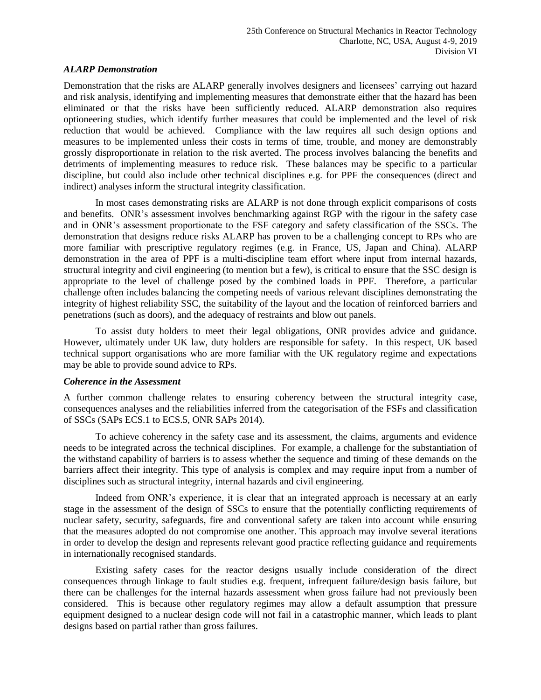#### *ALARP Demonstration*

Demonstration that the risks are ALARP generally involves designers and licensees' carrying out hazard and risk analysis, identifying and implementing measures that demonstrate either that the hazard has been eliminated or that the risks have been sufficiently reduced. ALARP demonstration also requires optioneering studies, which identify further measures that could be implemented and the level of risk reduction that would be achieved. Compliance with the law requires all such design options and measures to be implemented unless their costs in terms of time, trouble, and money are demonstrably grossly disproportionate in relation to the risk averted. The process involves balancing the benefits and detriments of implementing measures to reduce risk. These balances may be specific to a particular discipline, but could also include other technical disciplines e.g. for PPF the consequences (direct and indirect) analyses inform the structural integrity classification.

In most cases demonstrating risks are ALARP is not done through explicit comparisons of costs and benefits. ONR's assessment involves benchmarking against RGP with the rigour in the safety case and in ONR's assessment proportionate to the FSF category and safety classification of the SSCs. The demonstration that designs reduce risks ALARP has proven to be a challenging concept to RPs who are more familiar with prescriptive regulatory regimes (e.g. in France, US, Japan and China). ALARP demonstration in the area of PPF is a multi-discipline team effort where input from internal hazards, structural integrity and civil engineering (to mention but a few), is critical to ensure that the SSC design is appropriate to the level of challenge posed by the combined loads in PPF. Therefore, a particular challenge often includes balancing the competing needs of various relevant disciplines demonstrating the integrity of highest reliability SSC, the suitability of the layout and the location of reinforced barriers and penetrations (such as doors), and the adequacy of restraints and blow out panels.

To assist duty holders to meet their legal obligations, ONR provides advice and guidance. However, ultimately under UK law, duty holders are responsible for safety. In this respect, UK based technical support organisations who are more familiar with the UK regulatory regime and expectations may be able to provide sound advice to RPs.

#### *Coherence in the Assessment*

A further common challenge relates to ensuring coherency between the structural integrity case, consequences analyses and the reliabilities inferred from the categorisation of the FSFs and classification of SSCs (SAPs ECS.1 to ECS.5, ONR SAPs 2014).

To achieve coherency in the safety case and its assessment, the claims, arguments and evidence needs to be integrated across the technical disciplines. For example, a challenge for the substantiation of the withstand capability of barriers is to assess whether the sequence and timing of these demands on the barriers affect their integrity. This type of analysis is complex and may require input from a number of disciplines such as structural integrity, internal hazards and civil engineering.

Indeed from ONR's experience, it is clear that an integrated approach is necessary at an early stage in the assessment of the design of SSCs to ensure that the potentially conflicting requirements of nuclear safety, security, safeguards, fire and conventional safety are taken into account while ensuring that the measures adopted do not compromise one another. This approach may involve several iterations in order to develop the design and represents relevant good practice reflecting guidance and requirements in internationally recognised standards.

Existing safety cases for the reactor designs usually include consideration of the direct consequences through linkage to fault studies e.g. frequent, infrequent failure/design basis failure, but there can be challenges for the internal hazards assessment when gross failure had not previously been considered. This is because other regulatory regimes may allow a default assumption that pressure equipment designed to a nuclear design code will not fail in a catastrophic manner, which leads to plant designs based on partial rather than gross failures.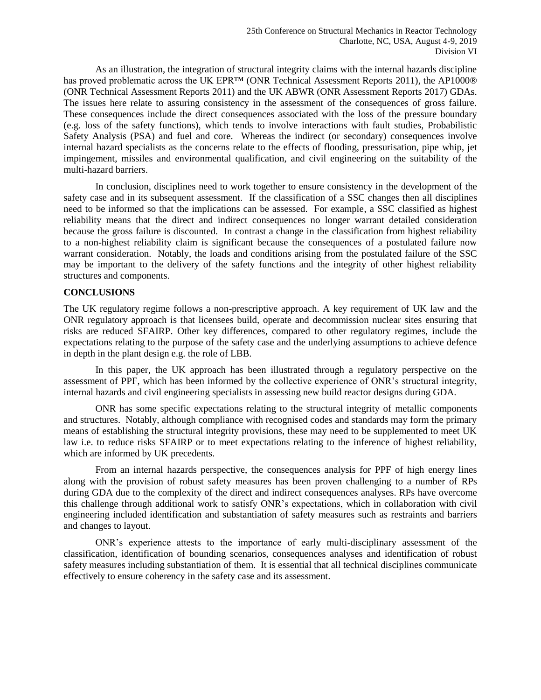As an illustration, the integration of structural integrity claims with the internal hazards discipline has proved problematic across the UK EPR™ (ONR Technical Assessment Reports 2011), the AP1000® (ONR Technical Assessment Reports 2011) and the UK ABWR (ONR Assessment Reports 2017) GDAs. The issues here relate to assuring consistency in the assessment of the consequences of gross failure. These consequences include the direct consequences associated with the loss of the pressure boundary (e.g. loss of the safety functions), which tends to involve interactions with fault studies, Probabilistic Safety Analysis (PSA) and fuel and core. Whereas the indirect (or secondary) consequences involve internal hazard specialists as the concerns relate to the effects of flooding, pressurisation, pipe whip, jet impingement, missiles and environmental qualification, and civil engineering on the suitability of the multi-hazard barriers.

In conclusion, disciplines need to work together to ensure consistency in the development of the safety case and in its subsequent assessment. If the classification of a SSC changes then all disciplines need to be informed so that the implications can be assessed. For example, a SSC classified as highest reliability means that the direct and indirect consequences no longer warrant detailed consideration because the gross failure is discounted. In contrast a change in the classification from highest reliability to a non-highest reliability claim is significant because the consequences of a postulated failure now warrant consideration. Notably, the loads and conditions arising from the postulated failure of the SSC may be important to the delivery of the safety functions and the integrity of other highest reliability structures and components.

## **CONCLUSIONS**

The UK regulatory regime follows a non-prescriptive approach. A key requirement of UK law and the ONR regulatory approach is that licensees build, operate and decommission nuclear sites ensuring that risks are reduced SFAIRP. Other key differences, compared to other regulatory regimes, include the expectations relating to the purpose of the safety case and the underlying assumptions to achieve defence in depth in the plant design e.g. the role of LBB.

In this paper, the UK approach has been illustrated through a regulatory perspective on the assessment of PPF, which has been informed by the collective experience of ONR's structural integrity, internal hazards and civil engineering specialists in assessing new build reactor designs during GDA.

ONR has some specific expectations relating to the structural integrity of metallic components and structures. Notably, although compliance with recognised codes and standards may form the primary means of establishing the structural integrity provisions, these may need to be supplemented to meet UK law i.e. to reduce risks SFAIRP or to meet expectations relating to the inference of highest reliability, which are informed by UK precedents.

From an internal hazards perspective, the consequences analysis for PPF of high energy lines along with the provision of robust safety measures has been proven challenging to a number of RPs during GDA due to the complexity of the direct and indirect consequences analyses. RPs have overcome this challenge through additional work to satisfy ONR's expectations, which in collaboration with civil engineering included identification and substantiation of safety measures such as restraints and barriers and changes to layout.

ONR's experience attests to the importance of early multi-disciplinary assessment of the classification, identification of bounding scenarios, consequences analyses and identification of robust safety measures including substantiation of them. It is essential that all technical disciplines communicate effectively to ensure coherency in the safety case and its assessment.